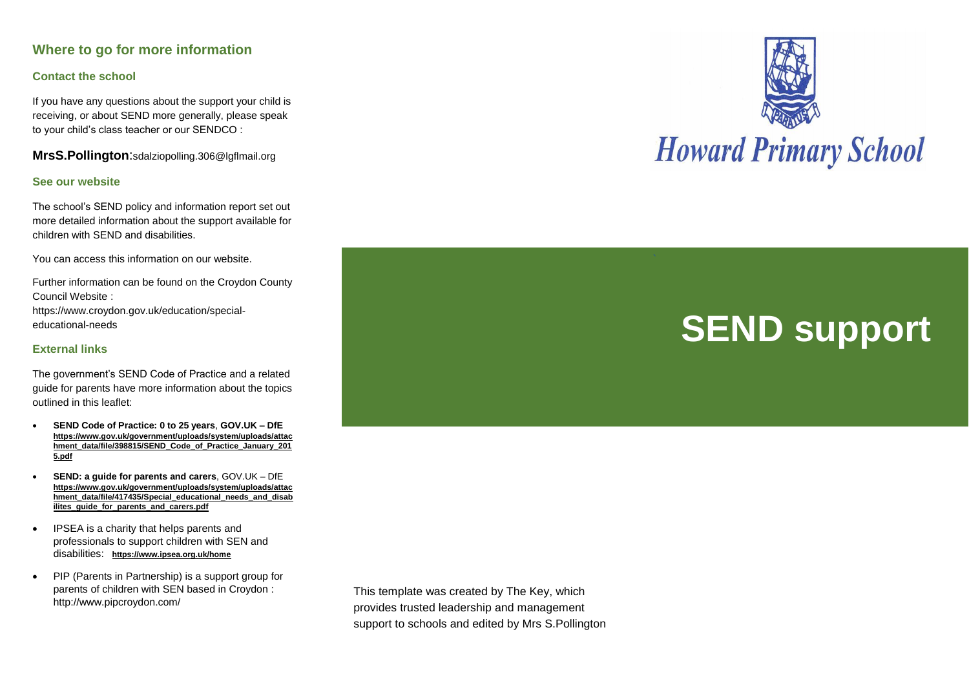## **Where to go for more information**

#### **Contact the school**

If you have any questions about the support your child is receiving, or about SEND more generally, please speak to your child's class teacher or our SENDCO :

**MrsS.Pollington**:sdalziopolling.306@lgflmail.org

#### **See our website**

The school's SEND policy and information report set out more detailed information about the support available for children with SEND and disabilities.

You can access this information on our website.

Further information can be found on the Croydon County Council Website :

https://www.croydon.gov.uk/education/specialeducational-needs

#### **External links**

The government's SEND Code of Practice and a related guide for parents have more information about the topics outlined in this leaflet:

- **SEND Code of Practice: 0 to 25 years**, **GOV.UK – DfE [https://www.gov.uk/government/uploads/system/uploads/attac](https://www.gov.uk/government/uploads/system/uploads/attachment_data/file/398815/SEND_Code_of_Practice_January_2015.pdf) [hment\\_data/file/398815/SEND\\_Code\\_of\\_Practice\\_January\\_201](https://www.gov.uk/government/uploads/system/uploads/attachment_data/file/398815/SEND_Code_of_Practice_January_2015.pdf) [5.pdf](https://www.gov.uk/government/uploads/system/uploads/attachment_data/file/398815/SEND_Code_of_Practice_January_2015.pdf)**
- **SEND: a guide for parents and carers**, GOV.UK DfE **[https://www.gov.uk/government/uploads/system/uploads/attac](https://www.gov.uk/government/uploads/system/uploads/attachment_data/file/417435/Special_educational_needs_and_disabilites_guide_for_parents_and_carers.pdf)** [hment\\_data/file/417435/Special\\_educational\\_needs\\_and\\_disab](https://www.gov.uk/government/uploads/system/uploads/attachment_data/file/417435/Special_educational_needs_and_disabilites_guide_for_parents_and_carers.pdf) **[ilites\\_guide\\_for\\_parents\\_and\\_carers.pdf](https://www.gov.uk/government/uploads/system/uploads/attachment_data/file/417435/Special_educational_needs_and_disabilites_guide_for_parents_and_carers.pdf)**
- IPSEA is a charity that helps parents and professionals to support children with SEN and disabilities: **<https://www.ipsea.org.uk/home>**
- PIP (Parents in Partnership) is a support group for parents of children with SEN based in Croydon : http://www.pipcroydon.com/

This template was created by The Key, which provides trusted leadership and management support to schools and edited by Mrs S.Pollington



# **SEND support**